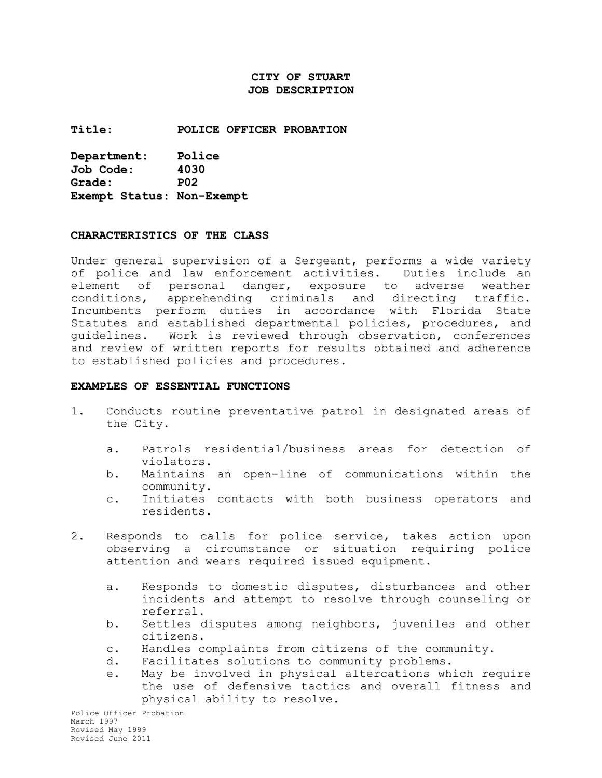# **CITY OF STUART JOB DESCRIPTION**

**Title: POLICE OFFICER PROBATION**

**Department: Police Job Code: 4030 Grade: P02 Exempt Status: Non-Exempt**

#### **CHARACTERISTICS OF THE CLASS**

Under general supervision of a Sergeant, performs a wide variety of police and law enforcement activities. Duties include an element of personal danger, exposure to adverse weather conditions, apprehending criminals and directing traffic. Incumbents perform duties in accordance with Florida State Statutes and established departmental policies, procedures, and guidelines. Work is reviewed through observation, conferences and review of written reports for results obtained and adherence to established policies and procedures.

#### **EXAMPLES OF ESSENTIAL FUNCTIONS**

- 1. Conducts routine preventative patrol in designated areas of the City.
	- a. Patrols residential/business areas for detection of violators.
	- b. Maintains an open-line of communications within the community.
	- c. Initiates contacts with both business operators and residents.
- 2. Responds to calls for police service, takes action upon observing a circumstance or situation requiring police attention and wears required issued equipment.
	- a. Responds to domestic disputes, disturbances and other incidents and attempt to resolve through counseling or referral.
	- b. Settles disputes among neighbors, juveniles and other citizens.
	- c. Handles complaints from citizens of the community.
	- d. Facilitates solutions to community problems.
	- e. May be involved in physical altercations which require the use of defensive tactics and overall fitness and physical ability to resolve.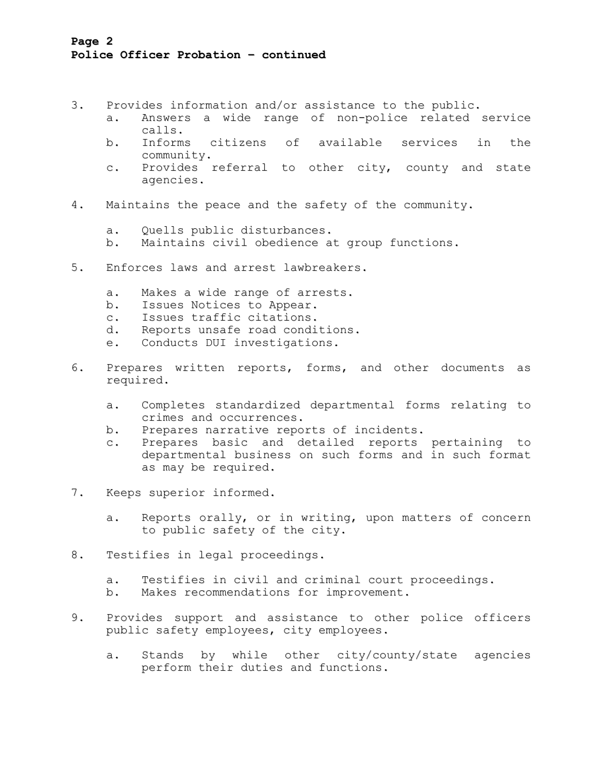# **Page 2 Police Officer Probation – continued**

- 3. Provides information and/or assistance to the public.
	- a. Answers a wide range of non-police related service calls.
	- b. Informs citizens of available services in the community.
	- c. Provides referral to other city, county and state agencies.
- 4. Maintains the peace and the safety of the community.
	- a. Quells public disturbances.
	- b. Maintains civil obedience at group functions.
- 5. Enforces laws and arrest lawbreakers.
	- a. Makes a wide range of arrests.
	- b. Issues Notices to Appear.
	- c. Issues traffic citations.
	- d. Reports unsafe road conditions.
	- e. Conducts DUI investigations.
- 6. Prepares written reports, forms, and other documents as required.
	- a. Completes standardized departmental forms relating to crimes and occurrences.
	- b. Prepares narrative reports of incidents.
	- c. Prepares basic and detailed reports pertaining to departmental business on such forms and in such format as may be required.
- 7. Keeps superior informed.
	- a. Reports orally, or in writing, upon matters of concern to public safety of the city.
- 8. Testifies in legal proceedings.
	- a. Testifies in civil and criminal court proceedings.
	- b. Makes recommendations for improvement.
- 9. Provides support and assistance to other police officers public safety employees, city employees.
	- a. Stands by while other city/county/state agencies perform their duties and functions.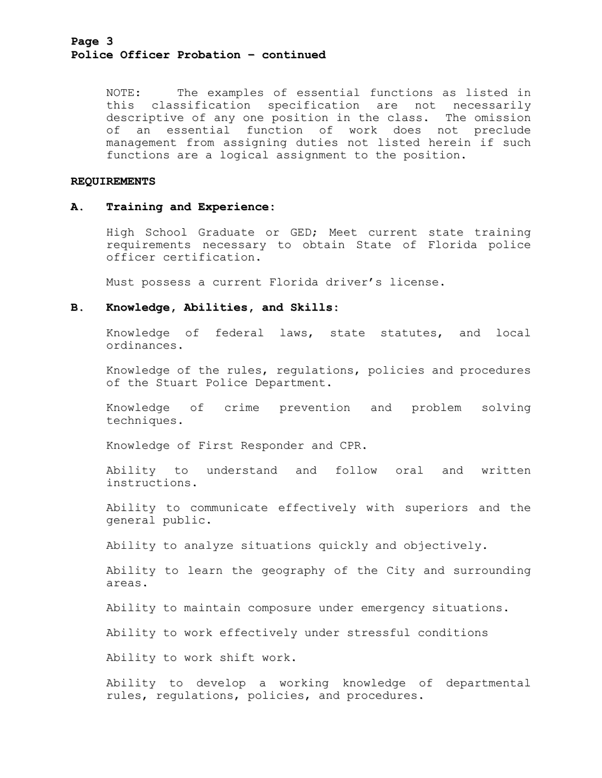## **Page 3 Police Officer Probation – continued**

NOTE: The examples of essential functions as listed in this classification specification are not necessarily descriptive of any one position in the class. The omission of an essential function of work does not preclude management from assigning duties not listed herein if such functions are a logical assignment to the position.

#### **REQUIREMENTS**

### **A. Training and Experience:**

High School Graduate or GED; Meet current state training requirements necessary to obtain State of Florida police officer certification.

Must possess a current Florida driver's license.

## **B. Knowledge, Abilities, and Skills:**

Knowledge of federal laws, state statutes, and local ordinances.

Knowledge of the rules, regulations, policies and procedures of the Stuart Police Department.

Knowledge of crime prevention and problem solving techniques.

Knowledge of First Responder and CPR.

Ability to understand and follow oral and written instructions.

Ability to communicate effectively with superiors and the general public.

Ability to analyze situations quickly and objectively.

Ability to learn the geography of the City and surrounding areas.

Ability to maintain composure under emergency situations.

Ability to work effectively under stressful conditions

Ability to work shift work.

Ability to develop a working knowledge of departmental rules, regulations, policies, and procedures.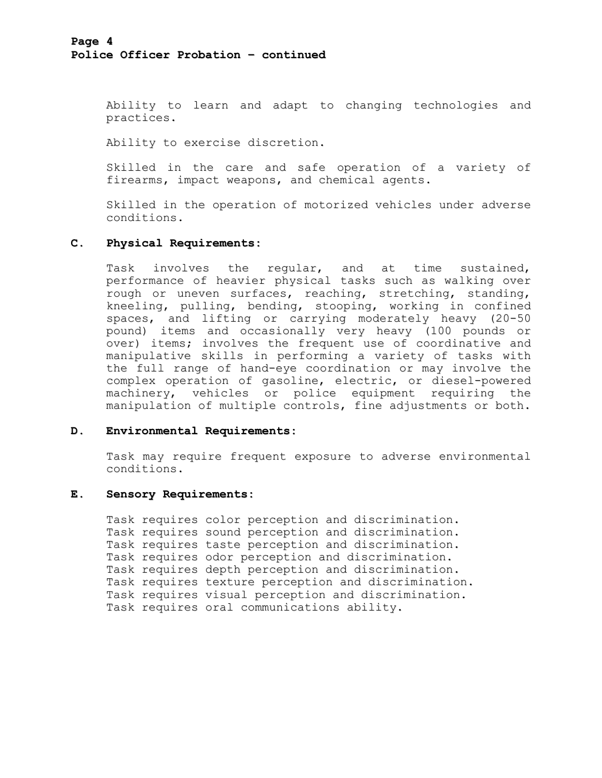Ability to learn and adapt to changing technologies and practices.

Ability to exercise discretion.

Skilled in the care and safe operation of a variety of firearms, impact weapons, and chemical agents.

Skilled in the operation of motorized vehicles under adverse conditions.

## **C. Physical Requirements:**

Task involves the regular, and at time sustained, performance of heavier physical tasks such as walking over rough or uneven surfaces, reaching, stretching, standing, kneeling, pulling, bending, stooping, working in confined spaces, and lifting or carrying moderately heavy (20-50 pound) items and occasionally very heavy (100 pounds or over) items; involves the frequent use of coordinative and manipulative skills in performing a variety of tasks with the full range of hand-eye coordination or may involve the complex operation of gasoline, electric, or diesel-powered machinery, vehicles or police equipment requiring the manipulation of multiple controls, fine adjustments or both.

### **D. Environmental Requirements:**

Task may require frequent exposure to adverse environmental conditions.

### **E. Sensory Requirements:**

Task requires color perception and discrimination. Task requires sound perception and discrimination. Task requires taste perception and discrimination. Task requires odor perception and discrimination. Task requires depth perception and discrimination. Task requires texture perception and discrimination. Task requires visual perception and discrimination. Task requires oral communications ability.